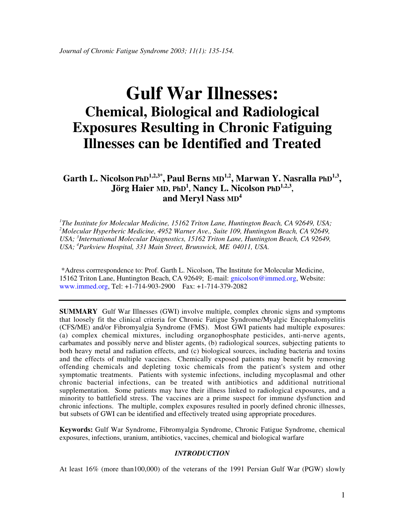# **Gulf War Illnesses: Chemical, Biological and Radiological Exposures Resulting in Chronic Fatiguing Illnesses can be Identified and Treated**

Garth L. Nicolson PhD<sup>1,2,3\*</sup>, Paul Berns MD<sup>1,2</sup>, Marwan Y. Nasralla PhD<sup>1,3</sup>, Jörg Haier MD, PhD<sup>1</sup>, Nancy L. Nicolson PhD<sup>1,2,3</sup>, **and Meryl Nass MD4**

*1 The Institute for Molecular Medicine, 15162 Triton Lane, Huntington Beach, CA 92649, USA; 2 Molecular Hyperberic Medicine, 4952 Warner Ave., Suite 109, Huntington Beach, CA 92649, USA; 3 International Molecular Diagnostics, 15162 Triton Lane, Huntington Beach, CA 92649, USA; 4 Parkview Hospital, 331 Main Street, Brunswick, ME 04011, USA.*

 \*Adress corrrespondence to: Prof. Garth L. Nicolson, The Institute for Molecular Medicine, 15162 Triton Lane, Huntington Beach, CA 92649; E-mail: gnicolson@immed.org, Website: www.immed.org, Tel: +1-714-903-2900 Fax: +1-714-379-2082

**SUMMARY** Gulf War Illnesses (GWI) involve multiple, complex chronic signs and symptoms that loosely fit the clinical criteria for Chronic Fatigue Syndrome/Myalgic Encephalomyelitis (CFS/ME) and/or Fibromyalgia Syndrome (FMS). Most GWI patients had multiple exposures: (a) complex chemical mixtures, including organophosphate pesticides, anti-nerve agents, carbamates and possibly nerve and blister agents, (b) radiological sources, subjecting patients to both heavy metal and radiation effects, and (c) biological sources, including bacteria and toxins and the effects of multiple vaccines. Chemically exposed patients may benefit by removing offending chemicals and depleting toxic chemicals from the patient's system and other symptomatic treatments. Patients with systemic infections, including mycoplasmal and other chronic bacterial infections, can be treated with antibiotics and additional nutritional supplementation. Some patients may have their illness linked to radiological exposures, and a minority to battlefield stress. The vaccines are a prime suspect for immune dysfunction and chronic infections. The multiple, complex exposures resulted in poorly defined chronic illnesses, but subsets of GWI can be identified and effectively treated using appropriate procedures.

**Keywords:** Gulf War Syndrome, Fibromyalgia Syndrome, Chronic Fatigue Syndrome, chemical exposures, infections, uranium, antibiotics, vaccines, chemical and biological warfare

# *INTRODUCTION*

At least 16% (more than100,000) of the veterans of the 1991 Persian Gulf War (PGW) slowly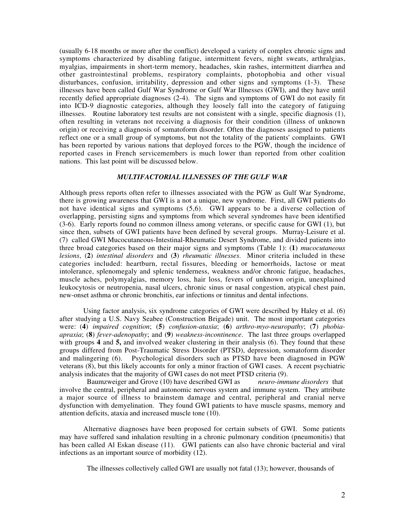(usually 6-18 months or more after the conflict) developed a variety of complex chronic signs and symptoms characterized by disabling fatigue, intermittent fevers, night sweats, arthralgias, myalgias, impairments in short-term memory, headaches, skin rashes, intermittent diarrhea and other gastrointestinal problems, respiratory complaints, photophobia and other visual disturbances, confusion, irritability, depression and other signs and symptoms (1-3). These illnesses have been called Gulf War Syndrome or Gulf War Illnesses (GWI), and they have until recently defied appropriate diagnoses (2-4). The signs and symptoms of GWI do not easily fit into ICD-9 diagnostic categories, although they loosely fall into the category of fatiguing illnesses. Routine laboratory test results are not consistent with a single, specific diagnosis (1), often resulting in veterans not receiving a diagnosis for their condition (illness of unknown origin) or receiving a diagnosis of somatoform disorder. Often the diagnoses assigned to patients reflect one or a small group of symptoms, but not the totality of the patients' complaints. GWI has been reported by various nations that deployed forces to the PGW, though the incidence of reported cases in French servicemembers is much lower than reported from other coalition nations. This last point will be discussed below.

#### *MULTIFACTORIAL ILLNESSES OF THE GULF WAR*

Although press reports often refer to illnesses associated with the PGW as Gulf War Syndrome, there is growing awareness that GWI is a not a unique, new syndrome. First, all GWI patients do not have identical signs and symptoms (5,6). GWI appears to be a diverse collection of overlapping, persisting signs and symptoms from which several syndromes have been identified (3-6). Early reports found no common illness among veterans, or specific cause for GWI (1), but since then, subsets of GWI patients have been defined by several groups. Murray-Leisure et al. (7) called GWI Mucocutaneous-Intestinal-Rheumatic Desert Syndrome, and divided patients into three broad categories based on their major signs and symptoms (Table 1): (**1**) *mucocutaneous lesions*, (**2**) *intestinal disorders* and (**3**) *rheumatic illnesses*. Minor criteria included in these categories included: heartburn, rectal fissures, bleeding or hemorrhoids, lactose or meat intolerance, splenomegaly and splenic tenderness, weakness and/or chronic fatigue, headaches, muscle aches, polymyalgias, memory loss, hair loss, fevers of unknown origin, unexplained leukocytosis or neutropenia, nasal ulcers, chronic sinus or nasal congestion, atypical chest pain, new-onset asthma or chronic bronchitis, ear infections or tinnitus and dental infections.

Using factor analysis, six syndrome categories of GWI were described by Haley et al. (6) after studying a U.S. Navy Seabee (Construction Brigade) unit. The most important categories were: (**4**) *impaired cognition*; (**5**) *confusion-ataxia*; (**6**) *arthro-myo-neuropathy*; (**7**) *phobiaapraxia*; (**8**) *fever-adenopathy*; and (**9**) *weakness-incontinence*. The last three groups overlapped with groups **4** and **5,** and involved weaker clustering in their analysis (6). They found that these groups differed from Post-Traumatic Stress Disorder (PTSD), depression, somatoform disorder and malingering (6). Psychological disorders such as PTSD have been diagnosed in PGW veterans (8), but this likely accounts for only a minor fraction of GWI cases. A recent psychiatric analysis indicates that the majority of GWI cases do not meet PTSD criteria (9).

 Baumzweiger and Grove (10) have described GWI as *neuro-immune disorders* that involve the central, peripheral and autonomic nervous system and immune system. They attribute a major source of illness to brainstem damage and central, peripheral and cranial nerve dysfunction with demyelination. They found GWI patients to have muscle spasms, memory and attention deficits, ataxia and increased muscle tone (10).

Alternative diagnoses have been proposed for certain subsets of GWI. Some patients may have suffered sand inhalation resulting in a chronic pulmonary condition (pneumonitis) that has been called Al Eskan disease (11). GWI patients can also have chronic bacterial and viral infections as an important source of morbidity (12).

The illnesses collectively called GWI are usually not fatal (13); however, thousands of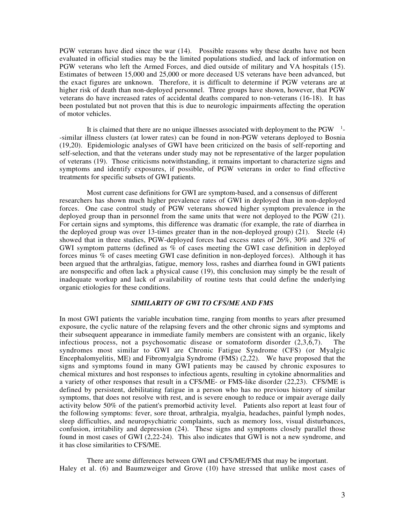PGW veterans have died since the war (14). Possible reasons why these deaths have not been evaluated in official studies may be the limited populations studied, and lack of information on PGW veterans who left the Armed Forces, and died outside of military and VA hospitals (15). Estimates of between 15,000 and 25,000 or more deceased US veterans have been advanced, but the exact figures are unknown. Therefore, it is difficult to determine if PGW veterans are at higher risk of death than non-deployed personnel. Three groups have shown, however, that PGW veterans do have increased rates of accidental deaths compared to non-veterans (16-18). It has been postulated but not proven that this is due to neurologic impairments affecting the operation of motor vehicles.

It is claimed that there are no unique illnesses associated with deployment to the  $PGW^{-1}$ --similar illness clusters (at lower rates) can be found in non-PGW veterans deployed to Bosnia (19,20). Epidemiologic analyses of GWI have been criticized on the basis of self-reporting and self-selection, and that the veterans under study may not be representative of the larger population of veterans (19). Those criticisms notwithstanding, it remains important to characterize signs and symptoms and identify exposures, if possible, of PGW veterans in order to find effective treatments for specific subsets of GWI patients.

 Most current case definitions for GWI are symptom-based, and a consensus of different researchers has shown much higher prevalence rates of GWI in deployed than in non-deployed forces. One case control study of PGW veterans showed higher symptom prevalence in the deployed group than in personnel from the same units that were not deployed to the PGW (21). For certain signs and symptoms, this difference was dramatic (for example, the rate of diarrhea in the deployed group was over 13-times greater than in the non-deployed group) (21). Steele (4) showed that in three studies, PGW-deployed forces had excess rates of 26%, 30% and 32% of GWI symptom patterns (defined as % of cases meeting the GWI case definition in deployed forces minus % of cases meeting GWI case definition in non-deployed forces). Although it has been argued that the arthralgias, fatigue, memory loss, rashes and diarrhea found in GWI patients are nonspecific and often lack a physical cause (19), this conclusion may simply be the result of inadequate workup and lack of availability of routine tests that could define the underlying organic etiologies for these conditions.

## *SIMILARITY OF GWI TO CFS/ME AND FMS*

In most GWI patients the variable incubation time, ranging from months to years after presumed exposure, the cyclic nature of the relapsing fevers and the other chronic signs and symptoms and their subsequent appearance in immediate family members are consistent with an organic, likely infectious process, not a psychosomatic disease or somatoform disorder (2,3,6,7). The syndromes most similar to GWI are Chronic Fatigue Syndrome (CFS) (or Myalgic Encephalomyelitis, ME) and Fibromyalgia Syndrome (FMS) (2,22). We have proposed that the signs and symptoms found in many GWI patients may be caused by chronic exposures to chemical mixtures and host responses to infectious agents, resulting in cytokine abnormalities and a variety of other responses that result in a CFS/ME- or FMS-like disorder (22,23). CFS/ME is defined by persistent, debilitating fatigue in a person who has no previous history of similar symptoms, that does not resolve with rest, and is severe enough to reduce or impair average daily activity below 50% of the patient's premorbid activity level. Patients also report at least four of the following symptoms: fever, sore throat, arthralgia, myalgia, headaches, painful lymph nodes, sleep difficulties, and neuropsychiatric complaints, such as memory loss, visual disturbances, confusion, irritability and depression (24). These signs and symptoms closely parallel those found in most cases of GWI (2,22-24). This also indicates that GWI is not a new syndrome, and it has close similarities to CFS/ME.

 There are some differences between GWI and CFS/ME/FMS that may be important. Haley et al. (6) and Baumzweiger and Grove (10) have stressed that unlike most cases of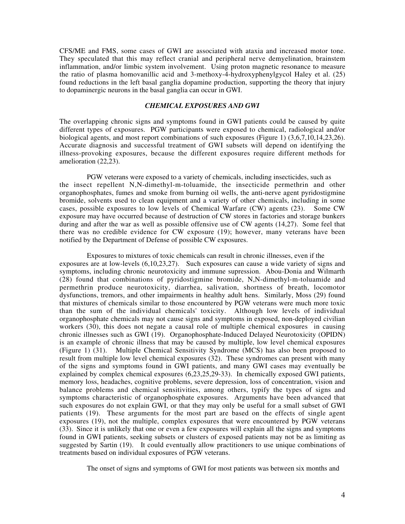CFS/ME and FMS, some cases of GWI are associated with ataxia and increased motor tone. They speculated that this may reflect cranial and peripheral nerve demyelination, brainstem inflammation, and/or limbic system involvement. Using proton magnetic resonance to measure the ratio of plasma homovanillic acid and 3-methoxy-4-hydroxyphenylgycol Haley et al. (25) found reductions in the left basal ganglia dopamine production, supporting the theory that injury to dopaminergic neurons in the basal ganglia can occur in GWI.

# *CHEMICAL EXPOSURES AND GWI*

The overlapping chronic signs and symptoms found in GWI patients could be caused by quite different types of exposures. PGW participants were exposed to chemical, radiological and/or biological agents, and most report combinations of such exposures (Figure 1) (3,6,7,10,14,23,26). Accurate diagnosis and successful treatment of GWI subsets will depend on identifying the illness-provoking exposures, because the different exposures require different methods for amelioration (22,23).

 PGW veterans were exposed to a variety of chemicals, including insecticides, such as the insect repellent N,N-dimethyl-m-toluamide, the insecticide permethrin and other organophosphates, fumes and smoke from burning oil wells, the anti-nerve agent pyridostigmine bromide, solvents used to clean equipment and a variety of other chemicals, including in some cases, possible exposures to low levels of Chemical Warfare (CW) agents (23). Some CW exposure may have occurred because of destruction of CW stores in factories and storage bunkers during and after the war as well as possible offensive use of CW agents (14,27). Some feel that there was no credible evidence for CW exposure (19); however, many veterans have been notified by the Department of Defense of possible CW exposures.

 Exposures to mixtures of toxic chemicals can result in chronic illnesses, even if the exposures are at low-levels (6,10,23,27). Such exposures can cause a wide variety of signs and symptoms, including chronic neurotoxicity and immune supression. Abou-Donia and Wilmarth (28) found that combinations of pyridostigmine bromide, N,N-dimethyl-m-toluamide and permethrin produce neurotoxicity, diarrhea, salivation, shortness of breath, locomotor dysfunctions, tremors, and other impairments in healthy adult hens. Similarly, Moss (29) found that mixtures of chemicals similar to those encountered by PGW veterans were much more toxic than the sum of the individual chemicals' toxicity. Although low levels of individual organophosphate chemicals may not cause signs and symptoms in exposed, non-deployed civilian workers (30), this does not negate a causal role of multiple chemical exposures in causing chronic illnesses such as GWI (19). Organophosphate-Induced Delayed Neurotoxicity (OPIDN) is an example of chronic illness that may be caused by multiple, low level chemical exposures (Figure 1) (31). Multiple Chemical Sensitivity Syndrome (MCS) has also been proposed to result from multiple low level chemical exposures (32). These syndromes can present with many of the signs and symptoms found in GWI patients, and many GWI cases may eventually be explained by complex chemical exposures (6,23,25,29-33). In chemically exposed GWI patients, memory loss, headaches, cognitive problems, severe depression, loss of concentration, vision and balance problems and chemical sensitivities, among others, typify the types of signs and symptoms characteristic of organophosphate exposures. Arguments have been advanced that such exposures do not explain GWI, or that they may only be useful for a small subset of GWI patients (19). These arguments for the most part are based on the effects of single agent exposures (19), not the multiple, complex exposures that were encountered by PGW veterans (33). Since it is unlikely that one or even a few exposures will explain all the signs and symptoms found in GWI patients, seeking subsets or clusters of exposed patients may not be as limiting as suggested by Sartin (19). It could eventually allow practitioners to use unique combinations of treatments based on individual exposures of PGW veterans.

The onset of signs and symptoms of GWI for most patients was between six months and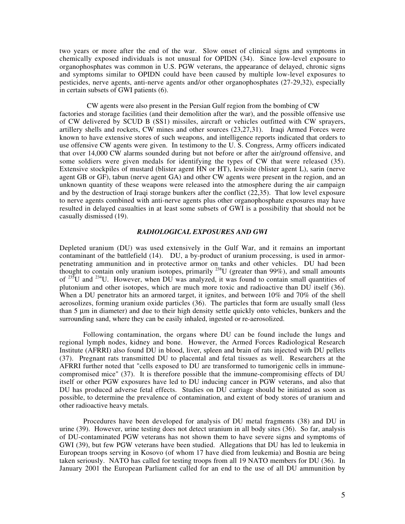two years or more after the end of the war. Slow onset of clinical signs and symptoms in chemically exposed individuals is not unusual for OPIDN (34). Since low-level exposure to organophosphates was common in U.S. PGW veterans, the appearance of delayed, chronic signs and symptoms similar to OPIDN could have been caused by multiple low-level exposures to pesticides, nerve agents, anti-nerve agents and/or other organophosphates (27-29,32), especially in certain subsets of GWI patients (6).

 CW agents were also present in the Persian Gulf region from the bombing of CW factories and storage facilities (and their demolition after the war), and the possible offensive use of CW delivered by SCUD B (SS1) missiles, aircraft or vehicles outfitted with CW sprayers, artillery shells and rockets, CW mines and other sources (23,27,31). Iraqi Armed Forces were known to have extensive stores of such weapons, and intelligence reports indicated that orders to use offensive CW agents were given. In testimony to the U. S. Congress, Army officers indicated that over 14,000 CW alarms sounded during but not before or after the air/ground offensive, and some soldiers were given medals for identifying the types of CW that were released (35). Extensive stockpiles of mustard (blister agent HN or HT), lewisite (blister agent L), sarin (nerve agent GB or GF), tabun (nerve agent GA) and other CW agents were present in the region, and an unknown quantity of these weapons were released into the atmosphere during the air campaign and by the destruction of Iraqi storage bunkers after the conflict (22,35). That low level exposure to nerve agents combined with anti-nerve agents plus other organophosphate exposures may have resulted in delayed casualties in at least some subsets of GWI is a possibility that should not be casually dismissed (19).

# *RADIOLOGICAL EXPOSURES AND GWI*

Depleted uranium (DU) was used extensively in the Gulf War, and it remains an important contaminant of the battlefield (14). DU, a by-product of uranium processing, is used in armorpenetrating ammunition and in protective armor on tanks and other vehicles. DU had been thought to contain only uranium isotopes, primarily  $^{238}$ U (greater than 99%), and small amounts of  $^{235}$ U and  $^{234}$ U. However, when DU was analyzed, it was found to contain small quantities of plutonium and other isotopes, which are much more toxic and radioactive than DU itself (36). When a DU penetrator hits an armored target, it ignites, and between 10% and 70% of the shell aerosolizes, forming uranium oxide particles (36). The particles that form are usually small (less than 5 µm in diameter) and due to their high density settle quickly onto vehicles, bunkers and the surrounding sand, where they can be easily inhaled, ingested or re-aerosolized.

Following contamination, the organs where DU can be found include the lungs and regional lymph nodes, kidney and bone. However, the Armed Forces Radiological Research Institute (AFRRI) also found DU in blood, liver, spleen and brain of rats injected with DU pellets (37). Pregnant rats transmitted DU to placental and fetal tissues as well. Researchers at the AFRRI further noted that "cells exposed to DU are transformed to tumorigenic cells in immunecompromised mice" (37). It is therefore possible that the immune-compromising effects of DU itself or other PGW exposures have led to DU inducing cancer in PGW veterans, and also that DU has produced adverse fetal effects. Studies on DU carriage should be initiated as soon as possible, to determine the prevalence of contamination, and extent of body stores of uranium and other radioactive heavy metals.

Procedures have been developed for analysis of DU metal fragments (38) and DU in urine (39). However, urine testing does not detect uranium in all body sites (36). So far, analysis of DU-contaminated PGW veterans has not shown them to have severe signs and symptoms of GWI (39), but few PGW veterans have been studied. Allegations that DU has led to leukemia in European troops serving in Kosovo (of whom 17 have died from leukemia) and Bosnia are being taken seriously. NATO has called for testing troops from all 19 NATO members for DU (36). In January 2001 the European Parliament called for an end to the use of all DU ammunition by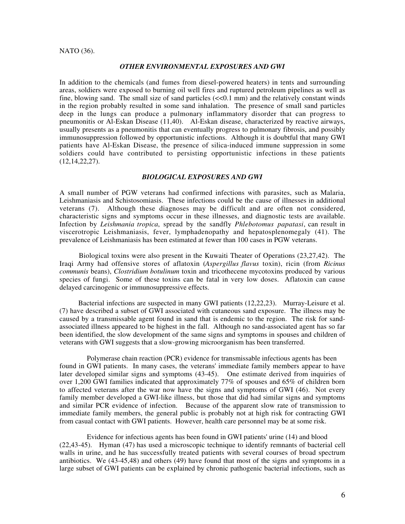#### NATO (36).

#### *OTHER ENVIRONMENTAL EXPOSURES AND GWI*

In addition to the chemicals (and fumes from diesel-powered heaters) in tents and surrounding areas, soldiers were exposed to burning oil well fires and ruptured petroleum pipelines as well as fine, blowing sand. The small size of sand particles (<<0.1 mm) and the relatively constant winds in the region probably resulted in some sand inhalation. The presence of small sand particles deep in the lungs can produce a pulmonary inflammatory disorder that can progress to pneumonitis or Al-Eskan Disease (11,40). Al-Eskan disease, characterized by reactive airways, usually presents as a pneumonitis that can eventually progress to pulmonary fibrosis, and possibly immunosuppression followed by opportunistic infections. Although it is doubtful that many GWI patients have Al-Eskan Disease, the presence of silica-induced immune suppression in some soldiers could have contributed to persisting opportunistic infections in these patients (12,14,22,27).

#### *BIOLOGICAL EXPOSURES AND GWI*

A small number of PGW veterans had confirmed infections with parasites, such as Malaria, Leishmaniasis and Schistosomiasis. These infections could be the cause of illnesses in additional veterans (7). Although these diagnoses may be difficult and are often not considered, characteristic signs and symptoms occur in these illnesses, and diagnostic tests are available. Infection by *Leishmania tropica*, spread by the sandfly *Phlebotomus papatasi*, can result in viscerotropic Leishmaniasis, fever, lymphadenopathy and hepatosplenomegaly (41). The prevalence of Leishmaniasis has been estimated at fewer than 100 cases in PGW veterans.

 Biological toxins were also present in the Kuwaiti Theater of Operations (23,27,42). The Iraqi Army had offensive stores of aflatoxin (*Aspergillus flavus* toxin), ricin (from *Ricinus communis* beans), *Clostridium botulinum* toxin and tricothecene mycotoxins produced by various species of fungi. Some of these toxins can be fatal in very low doses. Aflatoxin can cause delayed carcinogenic or immunosuppressive effects.

 Bacterial infections are suspected in many GWI patients (12,22,23). Murray-Leisure et al. (7) have described a subset of GWI associated with cutaneous sand exposure. The illness may be caused by a transmissable agent found in sand that is endemic to the region. The risk for sandassociated illness appeared to be highest in the fall. Although no sand-associated agent has so far been identified, the slow development of the same signs and symptoms in spouses and children of veterans with GWI suggests that a slow-growing microorganism has been transferred.

 Polymerase chain reaction (PCR) evidence for transmissable infectious agents has been found in GWI patients. In many cases, the veterans' immediate family members appear to have later developed similar signs and symptoms (43-45). One estimate derived from inquiries of over 1,200 GWI families indicated that approximately 77% of spouses and 65% of children born to affected veterans after the war now have the signs and symptoms of GWI (46). Not every family member developed a GWI-like illness, but those that did had similar signs and symptoms and similar PCR evidence of infection. Because of the apparent slow rate of transmission to immediate family members, the general public is probably not at high risk for contracting GWI from casual contact with GWI patients. However, health care personnel may be at some risk.

 Evidence for infectious agents has been found in GWI patients' urine (14) and blood (22,43-45). Hyman (47) has used a microscopic technique to identify remnants of bacterial cell walls in urine, and he has successfully treated patients with several courses of broad spectrum antibiotics. We (43-45,48) and others (49) have found that most of the signs and symptoms in a large subset of GWI patients can be explained by chronic pathogenic bacterial infections, such as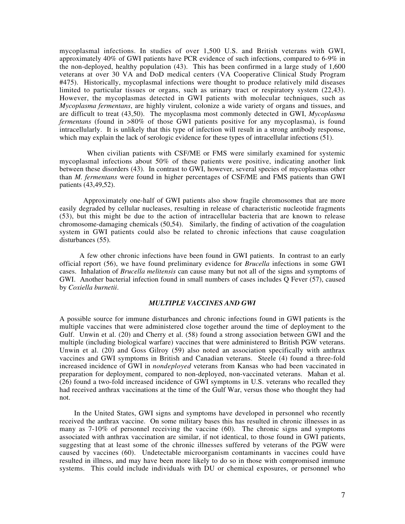mycoplasmal infections. In studies of over 1,500 U.S. and British veterans with GWI, approximately 40% of GWI patients have PCR evidence of such infections, compared to 6-9% in the non-deployed, healthy population (43). This has been confirmed in a large study of 1,600 veterans at over 30 VA and DoD medical centers (VA Cooperative Clinical Study Program #475). Historically, mycoplasmal infections were thought to produce relatively mild diseases limited to particular tissues or organs, such as urinary tract or respiratory system (22,43). However, the mycoplasmas detected in GWI patients with molecular techniques, such as *Mycoplasma fermentans*, are highly virulent, colonize a wide variety of organs and tissues, and are difficult to treat (43,50). The mycoplasma most commonly detected in GWI, *Mycoplasma fermentans* (found in >80% of those GWI patients positive for any mycoplasma), is found intracellularly. It is unlikely that this type of infection will result in a strong antibody response, which may explain the lack of serologic evidence for these types of intracellular infections (51).

When civilian patients with CSF/ME or FMS were similarly examined for systemic mycoplasmal infections about 50% of these patients were positive, indicating another link between these disorders (43). In contrast to GWI, however, several species of mycoplasmas other than *M. fermentans* were found in higher percentages of CSF/ME and FMS patients than GWI patients (43,49,52).

Approximately one-half of GWI patients also show fragile chromosomes that are more easily degraded by cellular nucleases, resulting in release of characteristic nucleotide fragments (53), but this might be due to the action of intracellular bacteria that are known to release chromosome-damaging chemicals (50,54). Similarly, the finding of activation of the coagulation system in GWI patients could also be related to chronic infections that cause coagulation disturbances (55).

A few other chronic infections have been found in GWI patients. In contrast to an early official report (56), we have found preliminary evidence for *Brucella* infections in some GWI cases. Inhalation of *Brucella melitensis* can cause many but not all of the signs and symptoms of GWI. Another bacterial infection found in small numbers of cases includes Q Fever (57), caused by *Coxiella burnetii*.

# *MULTIPLE VACCINES AND GWI*

A possible source for immune disturbances and chronic infections found in GWI patients is the multiple vaccines that were administered close together around the time of deployment to the Gulf. Unwin et al. (20) and Cherry et al. (58) found a strong association between GWI and the multiple (including biological warfare) vaccines that were administered to British PGW veterans. Unwin et al. (20) and Goss Gilroy (59) also noted an association specifically with anthrax vaccines and GWI symptoms in British and Canadian veterans. Steele (4) found a three-fold increased incidence of GWI in *nondeployed* veterans from Kansas who had been vaccinated in preparation for deployment, compared to non-deployed, non-vaccinated veterans. Mahan et al.  $(26)$  found a two-fold increased incidence of GWI symptoms in U.S. veterans who recalled they had received anthrax vaccinations at the time of the Gulf War, versus those who thought they had not.

In the United States, GWI signs and symptoms have developed in personnel who recently received the anthrax vaccine. On some military bases this has resulted in chronic illnesses in as many as 7-10% of personnel receiving the vaccine (60). The chronic signs and symptoms associated with anthrax vaccination are similar, if not identical, to those found in GWI patients, suggesting that at least some of the chronic illnesses suffered by veterans of the PGW were caused by vaccines (60). Undetectable microorganism contaminants in vaccines could have resulted in illness, and may have been more likely to do so in those with compromised immune systems. This could include individuals with DU or chemical exposures, or personnel who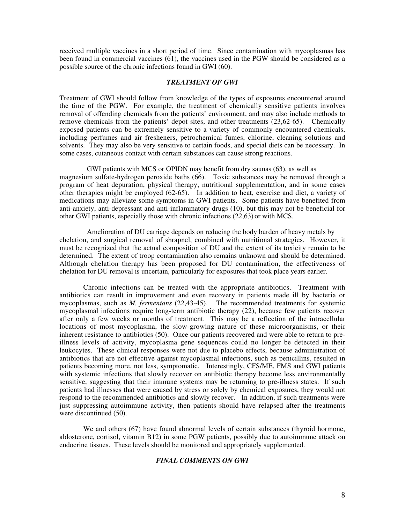received multiple vaccines in a short period of time. Since contamination with mycoplasmas has been found in commercial vaccines (61), the vaccines used in the PGW should be considered as a possible source of the chronic infections found in GWI (60).

#### *TREATMENT OF GWI*

Treatment of GWI should follow from knowledge of the types of exposures encountered around the time of the PGW. For example, the treatment of chemically sensitive patients involves removal of offending chemicals from the patients' environment, and may also include methods to remove chemicals from the patients' depot sites, and other treatments (23,62-65). Chemically exposed patients can be extremely sensitive to a variety of commonly encountered chemicals, including perfumes and air fresheners, petrochemical fumes, chlorine, cleaning solutions and solvents. They may also be very sensitive to certain foods, and special diets can be necessary. In some cases, cutaneous contact with certain substances can cause strong reactions.

 GWI patients with MCS or OPIDN may benefit from dry saunas (63), as well as magnesium sulfate-hydrogen peroxide baths (66). Toxic substances may be removed through a program of heat depuration, physical therapy, nutritional supplementation, and in some cases other therapies might be employed (62-65). In addition to heat, exercise and diet, a variety of medications may alleviate some symptoms in GWI patients. Some patients have benefited from anti-anxiety, anti-depressant and anti-inflammatory drugs (10), but this may not be beneficial for other GWI patients, especially those with chronic infections (22,63) or with MCS.

 Amelioration of DU carriage depends on reducing the body burden of heavy metals by chelation, and surgical removal of shrapnel, combined with nutritional strategies. However, it must be recognized that the actual composition of DU and the extent of its toxicity remain to be determined. The extent of troop contamination also remains unknown and should be determined. Although chelation therapy has been proposed for DU contamination, the effectiveness of chelation for DU removal is uncertain, particularly for exposures that took place years earlier.

Chronic infections can be treated with the appropriate antibiotics. Treatment with antibiotics can result in improvement and even recovery in patients made ill by bacteria or mycoplasmas, such as *M. fermentans* (22,43-45). The recommended treatments for systemic mycoplasmal infections require long-term antibiotic therapy (22), because few patients recover after only a few weeks or months of treatment. This may be a reflection of the intracellular locations of most mycoplasma, the slow-growing nature of these microorganisms, or their inherent resistance to antibiotics (50). Once our patients recovered and were able to return to preillness levels of activity, mycoplasma gene sequences could no longer be detected in their leukocytes. These clinical responses were not due to placebo effects, because administration of antibiotics that are not effective against mycoplasmal infections, such as penicillins, resulted in patients becoming more, not less, symptomatic. Interestingly, CFS/ME, FMS and GWI patients with systemic infections that slowly recover on antibiotic therapy become less environmentally sensitive, suggesting that their immune systems may be returning to pre-illness states. If such patients had illnesses that were caused by stress or solely by chemical exposures, they would not respond to the recommended antibiotics and slowly recover. In addition, if such treatments were just suppressing autoimmune activity, then patients should have relapsed after the treatments were discontinued (50).

We and others (67) have found abnormal levels of certain substances (thyroid hormone, aldosterone, cortisol, vitamin B12) in some PGW patients, possibly due to autoimmune attack on endocrine tissues. These levels should be monitored and appropriately supplemented.

# *FINAL COMMENTS ON GWI*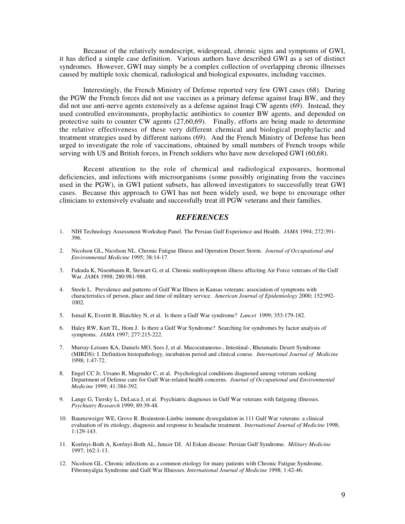Because of the relatively nondescript, widespread, chronic signs and symptoms of GWI, it has defied a simple case definition. Various authors have described GWI as a set of distinct syndromes. However, GWI may simply be a complex collection of overlapping chronic illnesses caused by multiple toxic chemical, radiological and biological exposures, including vaccines.

Interestingly, the French Ministry of Defense reported very few GWI cases (68). During the PGW the French forces did not use vaccines as a primary defense against Iraqi BW, and they did not use anti-nerve agents extensively as a defense against Iraqi CW agents (69). Instead, they used controlled environments, prophylactic antibiotics to counter BW agents, and depended on protective suits to counter CW agents (27,60,69). Finally, efforts are being made to determine the relative effectiveness of these very different chemical and biological prophylactic and treatment strategies used by different nations (69). And the French Ministry of Defense has been urged to investigate the role of vaccinations, obtained by small numbers of French troops while serving with US and British forces, in French soldiers who have now developed GWI (60,68).

Recent attention to the role of chemical and radiological exposures, hormonal deficiencies, and infections with microorganisms (some possibly originating from the vaccines used in the PGW), in GWI patient subsets, has allowed investigators to successfully treat GWI cases. Because this approach to GWI has not been widely used, we hope to encourage other clinicians to extensively evaluate and successfully treat ill PGW veterans and their families.

# *REFERENCES*

- 1. NIH Technology Assessment Workshop Panel. The Persian Gulf Experience and Health. *JAMA* 1994; 272:391- 396.
- 2. Nicolson GL, Nicolson NL. Chronic Fatigue Illness and Operation Desert Storm. *Journal of Occupational and Environmental Medicine* 1995; 38:14-17.
- 3. Fukuda K, Nisenbaum R, Stewart G, et al. Chronic multisymptom illness affecting Air Force veterans of the Gulf War. *JAMA* 1998; 280:981-988.
- 4. Steele L. Prevalence and patterns of Gulf War Illness in Kansas veterans: association of symptoms with characteristics of person, place and time of military service. *American Journal of Epidemiology* 2000; 152:992- 1002.
- 5. Ismail K, Everitt B, Blatchley N, et al. Is there a Gulf War syndrome? *Lancet* 1999; 353:179-182.
- 6. Haley RW, Kurt TL, Hom J. Is there a Gulf War Syndrome? Searching for syndromes by factor analysis of symptoms. *JAMA* 1997; 277:215-222.
- 7. Murray-Leisure KA, Daniels MO, Sees J, et al. Mucocutaneous-, Intestinal-, Rheumatic Desert Syndrome (MIRDS): I. Definition histopathology, incubation period and clinical course. *International Journal of Medicine* 1998; 1:47-72.
- 8. Engel CC Jr, Ursano R, Magruder C, et al. Psychological conditions diagnosed among veterans seeking Department of Defense care for Gulf War-related health concerns. *Journal of Occupational and Environmental Medicine* 1999; 41:384-392.
- 9. Lange G, Tiersky L, DeLuca J, et al. Psychiatric diagnoses in Gulf War veterans with fatiguing illnesses. *Psychiatry Research* 1999; 89:39-48.
- 10. Baumzweiger WE, Grove R. Brainstem-Limbic immune dysregulation in 111 Gulf War veterans: a clinical evaluation of its etiology, diagnosis and response to headache treatment. *International Journal of Medicine* 1998; 1:129-143.
- 11. Korényi-Both A, Korényi-Both AL, Juncer DJ. Al Eskan disease: Persian Gulf Syndrome. *Military Medicine* 1997; 162:1-13.
- 12. Nicolson GL. Chronic infections as a common etiology for many patients with Chronic Fatigue Syndrome, Fibromyalgia Syndrome and Gulf War Illnesses. *International Journal of Medicine* 1998; 1:42-46.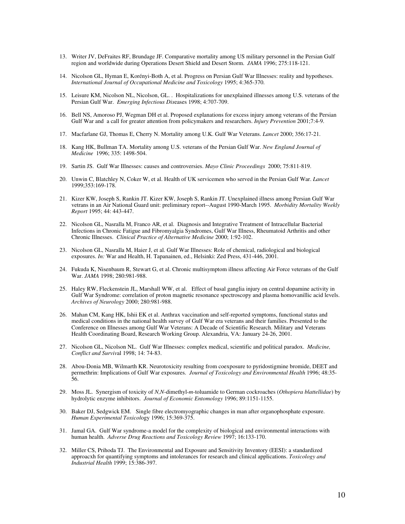- 13. Writer JV, DeFraites RF, Brundage JF. Comparative mortality among US military personnel in the Persian Gulf region and worldwide during Operations Desert Shield and Desert Storm. *JAMA* 1996; 275:118-121.
- 14. Nicolson GL, Hyman E, Korényi-Both A, et al. Progress on Persian Gulf War Illnesses: reality and hypotheses. *International Journal of Occupational Medicine and Toxicology* 1995; 4:365-370.
- 15. Leisure KM, Nicolson NL, Nicolson, GL. . Hospitalizations for unexplained illnesses among U.S. veterans of the Persian Gulf War. *Emerging Infectious Dis*eases 1998; 4:707-709.
- 16. Bell NS, Amoroso PJ, Wegman DH et al. Proposed explanations for excess injury among veterans of the Persian Gulf War and a call for greater attention from policymakers and researchers. *Injury Prevention* 2001;7:4-9.
- 17. Macfarlane GJ, Thomas E, Cherry N. Mortality among U.K. Gulf War Veterans. *Lancet* 2000; 356:17-21.
- 18. Kang HK, Bullman TA. Mortality among U.S. veterans of the Persian Gulf War. *New England Journal of Medicine* 1996; 335: 1498-504.
- 19. Sartin JS. Gulf War Illnesses: causes and controversies. *Mayo Clinic Proceedings* 2000; 75:811-819.
- 20. Unwin C, Blatchley N, Coker W, et al. Health of UK servicemen who served in the Persian Gulf War. *Lancet* 1999;353:169-178.
- 21. Kizer KW, Joseph S, Rankin JT. Kizer KW, Joseph S, Rankin JT. Unexplained illness among Persian Gulf War vetrans in an Air National Guard unit: preliminary report--August 1990-March 1995. *Morbidity Mortality Weekly Report* 1995; 44: 443-447.
- 22. Nicolson GL, Nasralla M, Franco AR, et al. Diagnosis and Integrative Treatment of Intracellular Bacterial Infections in Chronic Fatigue and Fibromyalgia Syndromes, Gulf War Illness, Rheumatoid Arthritis and other Chronic Illnesses. *Clinical Practice of Alternative Medicine* 2000; 1:92-102.
- 23. Nicolson GL, Nasralla M, Haier J, et al. Gulf War Illnesses: Role of chemical, radiological and biological exposures. *In:* War and Health, H. Tapanainen, ed., Helsinki: Zed Press, 431-446, 2001.
- 24. Fukuda K, Nisenbaum R, Stewart G, et al. Chronic multisymptom illness affecting Air Force veterans of the Gulf War. *JAMA* 1998; 280:981-988.
- 25. Haley RW, Fleckenstein JL, Marshall WW, et al. Effect of basal ganglia injury on central dopamine activity in Gulf War Syndrome: correlation of proton magnetic resonance spectroscopy and plasma homovanillic acid levels. *Archives of Neurology* 2000; 280:981-988.
- 26. Mahan CM, Kang HK, Ishii EK et al. Anthrax vaccination and self-reported symptoms, functional status and medical conditions in the national health survey of Gulf War era veterans and their families. Presented to the Conference on Illnesses among Gulf War Veterans: A Decade of Scientific Research. Military and Veterans Health Coordinating Board, Research Working Group. Alexandria, VA: January 24-26, 2001.
- 27. Nicolson GL, Nicolson NL. Gulf War Illnesses: complex medical, scientific and political paradox. *Medicine, Conflict and Surviv*al 1998; 14: 74-83.
- 28. Abou-Donia MB, Wilmarth KR. Neurotoxicity resulting from coexposure to pyridostigmine bromide, DEET and permethrin: Implications of Gulf War exposures. *Journal of Toxicology and Environmental Health* 1996; 48:35- 56.
- 29. Moss JL. Synergism of toxicity of *N,N*-dimethyl-*m*-toluamide to German cockroaches (*Othopiera blattellidae*) by hydrolytic enzyme inhibitors. *Journal of Economic Entomology* 1996; 89:1151-1155.
- 30. Baker DJ, Sedgwick EM. Single fibre electromyographic changes in man after organophosphate exposure. *Human Experimental Toxicol*ogy 1996; 15:369-375.
- 31. Jamal GA. Gulf War syndrome-a model for the complexity of biological and environmental interactions with human health. *Adverse Drug Reactions and Toxicology Review* 1997; 16:133-170.
- 32. Miller CS, Prihoda TJ. The Environmental and Exposure and Sensitivity Inventory (EESI): a standardized approacxh for quantifying symptoms and intolerances for research and clinical applications. *Toxicology and Industrial Health* 1999; 15:386-397.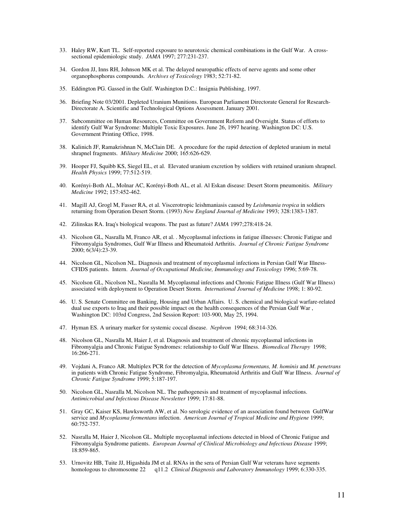- 33. Haley RW, Kurt TL. Self-reported exposure to neurotoxic chemical combinations in the Gulf War. A crosssectional epidemiologic study. *JAMA* 1997; 277:231-237.
- 34. Gordon JJ, Inns RH, Johnson MK et al. The delayed neuropathic effects of nerve agents and some other organophosphorus compounds*. Archives of Toxicology* 1983; 52:71-82.
- 35. Eddington PG. Gassed in the Gulf. Washington D.C.: Insignia Publishing, 1997.
- 36. Briefing Note 03/2001. Depleted Uranium Munitions. European Parliament Directorate General for Research-Directorate A. Scientific and Technological Options Assessment. January 2001.
- 37. Subcommittee on Human Resources, Committee on Government Reform and Oversight. Status of efforts to identify Gulf War Syndrome: Multiple Toxic Exposures. June 26, 1997 hearing. Washington DC: U.S. Government Printing Office, 1998.
- 38. Kalinich JF, Ramakrishnan N, McClain DE. A procedure for the rapid detection of depleted uranium in metal shrapnel fragments. *Military Medicine* 2000; 165:626-629.
- 39. Hooper FJ, Squibb KS, Siegel EL, et al. Elevated uranium excretion by soldiers with retained uranium shrapnel. *Health Physics* 1999; 77:512-519.
- 40. Korényi-Both AL, Molnar AC, Korényi-Both AL, et al. Al Eskan disease: Desert Storm pneumonitis. *Military Medicine* 1992; 157:452-462.
- 41. Magill AJ, Grogl M, Fasser RA, et al. Viscerotropic leishmaniasis caused by *Leishmania tropica* in soldiers returning from Operation Desert Storm. (1993) *New England Journal of Medicine* 1993; 328:1383-1387.
- 42. Zilinskas RA. Iraq's biological weapons. The past as future? *JAMA* 1997;278:418-24.
- 43. Nicolson GL, Nasralla M, Franco AR, et al. . Mycoplasmal infections in fatigue illnesses: Chronic Fatigue and Fibromyalgia Syndromes, Gulf War Illness and Rheumatoid Arthritis. *Journal of Chronic Fatigue Syndrome* 2000; 6(3/4):23-39.
- 44. Nicolson GL, Nicolson NL. Diagnosis and treatment of mycoplasmal infections in Persian Gulf War Illness-CFIDS patients. Intern. *Journal of Occupational Medicine, Immunology and Toxicology* 1996; 5:69-78.
- 45. Nicolson GL, Nicolson NL, Nasralla M. Mycoplasmal infections and Chronic Fatigue Illness (Gulf War Illness) associated with deployment to Operation Desert Storm. *International Journal of Medicine* 1998; 1: 80-92.
- 46. U. S. Senate Committee on Banking, Housing and Urban Affairs. U. S. chemical and biological warfare-related dual use exports to Iraq and their possible impact on the health consequences of the Persian Gulf War , Washington DC: 103rd Congress, 2nd Session Report: 103-900, May 25, 1994.
- 47. Hyman ES. A urinary marker for systemic coccal disease. *Nephron* 1994; 68:314-326.
- 48. Nicolson GL, Nasralla M, Haier J, et al. Diagnosis and treatment of chronic mycoplasmal infections in Fibromyalgia and Chronic Fatigue Syndromes: relationship to Gulf War Illness. *Biomedical Therapy* 1998; 16:266-271.
- 49. Vojdani A, Franco AR. Multiplex PCR for the detection of *Mycoplasma fermentans, M. hominis* and *M. penetrans* in patients with Chronic Fatigue Syndrome, Fibromyalgia, Rheumatoid Arthritis and Gulf War Illness. *Journal of Chronic Fatigue Syndrome* 1999; 5:187-197.
- 50. Nicolson GL, Nasralla M, Nicolson NL. The pathogenesis and treatment of mycoplasmal infections. *Antimicrobial and Infectious Disease Newsletter* 1999; 17:81-88.
- 51. Gray GC, Kaiser KS, Hawksworth AW, et al. No serologic evidence of an association found between GulfWar service and *Mycoplasma fermentans* infection. *American Journal of Tropical Medicine and Hygiene* 1999; 60:752-757.
- 52. Nasralla M, Haier J, Nicolson GL. Multiple mycoplasmal infections detected in blood of Chronic Fatigue and Fibromyalgia Syndrome patients. *European Journal of Clinlical Microbiology and Infectious Disease* 1999; 18:859-865.
- 53. Urnovitz HB, Tuite JJ, Higashida JM et al. RNAs in the sera of Persian Gulf War veterans have segments homologous to chromosome 22 q11.2 *Clinical Diagnosis and Laboratory Immunology* 1999; 6:330-335.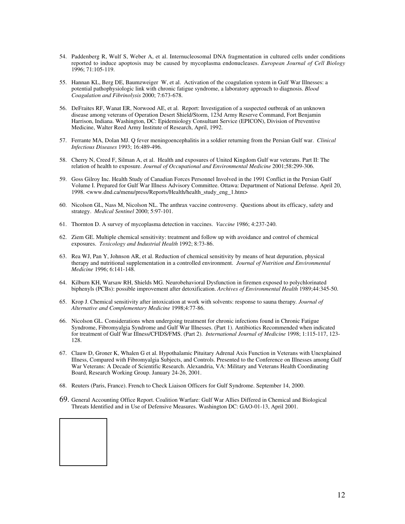- 54. Paddenberg R, Wulf S, Weber A, et al. Internucleosomal DNA fragmentation in cultured cells under conditions reported to induce apoptosis may be caused by mycoplasma endonucleases. *European Journal of Cell Biology* 1996; 71:105-119.
- 55. Hannan KL, Berg DE, Baumzweiger W, et al. Activation of the coagulation system in Gulf War Illnesses: a potential pathophysiologic link with chronic fatigue syndrome, a laboratory approach to diagnosis. *Blood Coagulation and Fibrinolysis* 2000; 7:673-678.
- 56. DeFraites RF, Wanat ER, Norwood AE, et al. Report: Investigation of a suspected outbreak of an unknown disease among veterans of Operation Desert Shield/Storm, 123d Army Reserve Command, Fort Benjamin Harrison, Indiana. Washington, DC: Epidemiology Consultant Service (EPICON), Division of Preventive Medicine, Walter Reed Army Institute of Research, April, 1992.
- 57. Ferrante MA, Dolan MJ. Q fever meningoencephalitis in a soldier returning from the Persian Gulf war. *Clinical Infectious Diseases* 1993; 16:489-496.
- 58. Cherry N, Creed F, Silman A, et al. Health and exposures of United Kingdom Gulf war veterans. Part II: The relation of health to exposure. *Journal of Occupational and Environmental Medicine* 2001;58:299-306.
- 59. Goss Gilroy Inc. Health Study of Canadian Forces Personnel Involved in the 1991 Conflict in the Persian Gulf Volume I. Prepared for Gulf War Illness Advisory Committee. Ottawa: Department of National Defense. April 20, 1998. <www.dnd.ca/menu/press/Reports/Health/health\_study\_eng\_1.htm>
- 60. Nicolson GL, Nass M, Nicolson NL. The anthrax vaccine controversy. Questions about its efficacy, safety and strategy. *Medical Sentinel* 2000; 5:97-101.
- 61. Thornton D. A survey of mycoplasma detection in vaccines. *Vaccine* 1986; 4:237-240.
- 62. Ziem GE. Multiple chemical sensitivity: treatment and follow up with avoidance and control of chemical exposures. *Toxicology and Industrial Health* 1992; 8:73-86.
- 63. Rea WJ, Pan Y, Johnson AR, et al. Reduction of chemical sensitivity by means of heat depuration, physical therapy and nutritional supplementation in a controlled environment. *Journal of Nutrition and Environmental Medicine* 1996; 6:141-148.
- 64. Kilburn KH, Warsaw RH, Shields MG. Neurobehavioral Dysfunction in firemen exposed to polychlorinated biphenyls (PCBs): possible improvement after detoxification. *Archives of Environmental Health* 1989;44:345-50.
- 65. Krop J. Chemical sensitivity after intoxication at work with solvents: response to sauna therapy*. Journal of Alternative and Complementary Medicine* 1998;4:77-86.
- 66. Nicolson GL. Considerations when undergoing treatment for chronic infections found in Chronic Fatigue Syndrome, Fibromyalgia Syndrome and Gulf War Illnesses. (Part 1). Antibiotics Recommended when indicated for treatment of Gulf War Illness/CFIDS/FMS. (Part 2). *International Journal of Medicine* 1998; 1:115-117, 123- 128.
- 67. Clauw D, Groner K, Whalen G et al. Hypothalamic Pituitary Adrenal Axis Function in Veterans with Unexplained Illness, Compared with Fibromyalgia Subjects, and Controls. Presented to the Conference on Illnesses among Gulf War Veterans: A Decade of Scientific Research. Alexandria, VA: Military and Veterans Health Coordinating Board, Research Working Group. January 24-26, 2001.
- 68. Reuters (Paris, France). French to Check Liaison Officers for Gulf Syndrome. September 14, 2000.
- 69. General Accounting Office Report. Coalition Warfare: Gulf War Allies Differed in Chemical and Biological Threats Identified and in Use of Defensive Measures. Washington DC: GAO-01-13, April 2001.

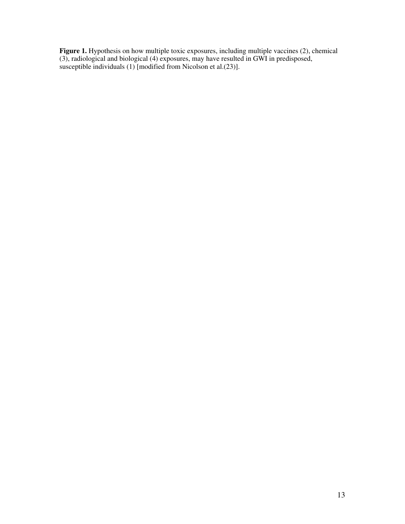**Figure 1.** Hypothesis on how multiple toxic exposures, including multiple vaccines (2), chemical (3), radiological and biological (4) exposures, may have resulted in GWI in predisposed, susceptible individuals (1) [modified from Nicolson et al.(23)].